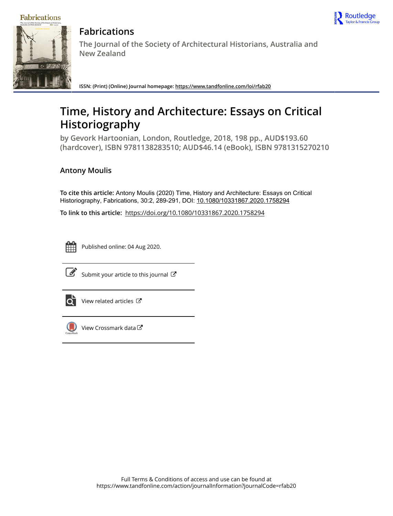





**Fabrications The Journal of the Society of Architectural Historians, Australia and New Zealand**

**ISSN: (Print) (Online) Journal homepage:<https://www.tandfonline.com/loi/rfab20>**

## **Time, History and Architecture: Essays on Critical Historiography**

**by Gevork Hartoonian, London, Routledge, 2018, 198 pp., AUD\$193.60 (hardcover), ISBN 9781138283510; AUD\$46.14 (eBook), ISBN 9781315270210**

## **Antony Moulis**

**To cite this article:** Antony Moulis (2020) Time, History and Architecture: Essays on Critical Historiography, Fabrications, 30:2, 289-291, DOI: [10.1080/10331867.2020.1758294](https://www.tandfonline.com/action/showCitFormats?doi=10.1080/10331867.2020.1758294)

**To link to this article:** <https://doi.org/10.1080/10331867.2020.1758294>



Published online: 04 Aug 2020.



 $\overline{\mathscr{L}}$  [Submit your article to this journal](https://www.tandfonline.com/action/authorSubmission?journalCode=rfab20&show=instructions)  $\mathbb{F}$ 



 $\overrightarrow{O}$  [View related articles](https://www.tandfonline.com/doi/mlt/10.1080/10331867.2020.1758294)  $\overrightarrow{C}$ 



[View Crossmark data](http://crossmark.crossref.org/dialog/?doi=10.1080/10331867.2020.1758294&domain=pdf&date_stamp=2020-08-04)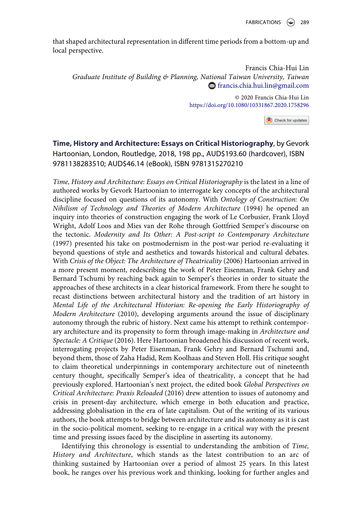that shaped architectural representation in different time periods from a bottom-up and local perspective.

Francis Chia-Hui Lin Graduate Institute of Building & Planning, National Taiwan University, Taiwan francis.chia.hui.lin@gmail.com

> © 2020 Francis Chia-Hui Lin https://doi.org/10.1080/10331867.2020.1758296

> > Check for updates

## Time, History and Architecture: Essays on Critical Historiography, by Gevork Hartoonian, London, Routledge, 2018, 198 pp., AUD\$193.60 (hardcover), ISBN 9781138283510; AUD\$46.14 (eBook), ISBN 9781315270210

Time, History and Architecture: Essays on Critical Historiography is the latest in a line of authored works by Gevork Hartoonian to interrogate key concepts of the architectural discipline focused on questions of its autonomy. With Ontology of Construction: On Nihilism of Technology and Theories of Modern Architecture (1994) he opened an inquiry into theories of construction engaging the work of Le Corbusier, Frank Lloyd Wright, Adolf Loos and Mies van der Rohe through Gottfried Semper's discourse on the tectonic. Modernity and Its Other: A Post-script to Contemporary Architecture (1997) presented his take on postmodernism in the post-war period re-evaluating it beyond questions of style and aesthetics and towards historical and cultural debates. With Crisis of the Object: The Architecture of Theatricality (2006) Hartoonian arrived in a more present moment, redescribing the work of Peter Eisenman, Frank Gehry and Bernard Tschumi by reaching back again to Semper's theories in order to situate the approaches of these architects in a clear historical framework. From there he sought to recast distinctions between architectural history and the tradition of art history in Mental Life of the Architectural Historian: Re-opening the Early Historiography of Modern Architecture (2010), developing arguments around the issue of disciplinary autonomy through the rubric of history. Next came his attempt to rethink contemporary architecture and its propensity to form through image-making in Architecture and Spectacle: A Critique (2016). Here Hartoonian broadened his discussion of recent work, interrogating projects by Peter Eisenman, Frank Gehry and Bernard Tschumi and, beyond them, those of Zaha Hadid, Rem Koolhaas and Steven Holl. His critique sought to claim theoretical underpinnings in contemporary architecture out of nineteenth century thought, specifically Semper's idea of theatricality, a concept that he had previously explored. Hartoonian's next project, the edited book Global Perspectives on Critical Architecture: Praxis Reloaded (2016) drew attention to issues of autonomy and crisis in present-day architecture, which emerge in both education and practice, addressing globalisation in the era of late capitalism. Out of the writing of its various authors, the book attempts to bridge between architecture and its autonomy as it is cast in the socio-political moment, seeking to re-engage in a critical way with the present time and pressing issues faced by the discipline in asserting its autonomy.

Identifying this chronology is essential to understanding the ambition of Time, History and Architecture, which stands as the latest contribution to an arc of thinking sustained by Hartoonian over a period of almost 25 years. In this latest book, he ranges over his previous work and thinking, looking for further angles and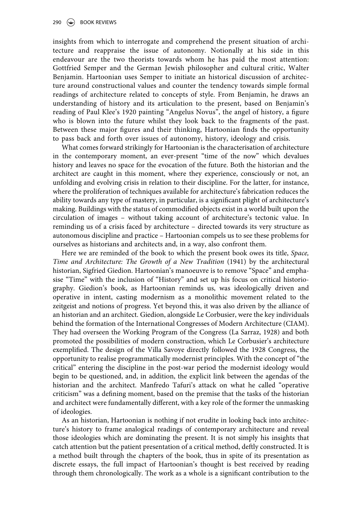insights from which to interrogate and comprehend the present situation of architecture and reappraise the issue of autonomy. Notionally at his side in this endeavour are the two theorists towards whom he has paid the most attention: Gottfried Semper and the German Jewish philosopher and cultural critic, Walter Benjamin. Hartoonian uses Semper to initiate an historical discussion of architecture around constructional values and counter the tendency towards simple formal readings of architecture related to concepts of style. From Benjamin, he draws an understanding of history and its articulation to the present, based on Benjamin's reading of Paul Klee's 1920 painting "Angelus Novus", the angel of history, a figure who is blown into the future whilst they look back to the fragments of the past. Between these major figures and their thinking, Hartoonian finds the opportunity to pass back and forth over issues of autonomy, history, ideology and crisis.

What comes forward strikingly for Hartoonian is the characterisation of architecture in the contemporary moment, an ever-present "time of the now" which devalues history and leaves no space for the evocation of the future. Both the historian and the architect are caught in this moment, where they experience, consciously or not, an unfolding and evolving crisis in relation to their discipline. For the latter, for instance, where the proliferation of techniques available for architecture's fabrication reduces the ability towards any type of mastery, in particular, is a significant plight of architecture's making. Buildings with the status of commodified objects exist in a world built upon the circulation of images – without taking account of architecture's tectonic value. In reminding us of a crisis faced by architecture – directed towards its very structure as autonomous discipline and practice – Hartoonian compels us to see these problems for ourselves as historians and architects and, in a way, also confront them.

Here we are reminded of the book to which the present book owes its title, Space, Time and Architecture: The Growth of a New Tradition (1941) by the architectural historian, Sigfried Giedion. Hartoonian's manoeuvre is to remove "Space" and emphasise "Time" with the inclusion of "History" and set up his focus on critical historiography. Giedion's book, as Hartoonian reminds us, was ideologically driven and operative in intent, casting modernism as a monolithic movement related to the zeitgeist and notions of progress. Yet beyond this, it was also driven by the alliance of an historian and an architect. Giedion, alongside Le Corbusier, were the key individuals behind the formation of the International Congresses of Modern Architecture (CIAM). They had overseen the Working Program of the Congress (La Sarraz, 1928) and both promoted the possibilities of modern construction, which Le Corbusier's architecture exemplified. The design of the Villa Savoye directly followed the 1928 Congress, the opportunity to realise programmatically modernist principles. With the concept of "the critical" entering the discipline in the post-war period the modernist ideology would begin to be questioned, and, in addition, the explicit link between the agendas of the historian and the architect. Manfredo Tafuri's attack on what he called "operative criticism" was a defining moment, based on the premise that the tasks of the historian and architect were fundamentally different, with a key role of the former the unmasking of ideologies.

As an historian, Hartoonian is nothing if not erudite in looking back into architecture's history to frame analogical readings of contemporary architecture and reveal those ideologies which are dominating the present. It is not simply his insights that catch attention but the patient presentation of a critical method, deftly constructed. It is a method built through the chapters of the book, thus in spite of its presentation as discrete essays, the full impact of Hartoonian's thought is best received by reading through them chronologically. The work as a whole is a significant contribution to the